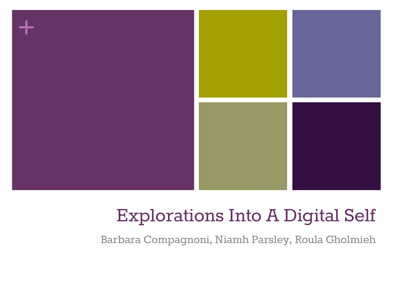

## Explorations Into A Digital Self

Barbara Compagnoni, Niamh Parsley, Roula Gholmieh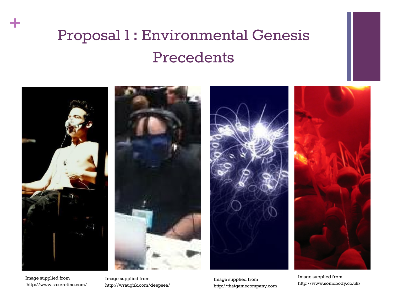## Proposal 1 : Environmental Genesis Precedents



Image supplied from http://www.saxcretino.com/

**+**

Image supplied from http://wraughk.com/deepsea/

Image supplied from http://thatgamecompany.com

Image supplied from http://www.sonicbody.co.uk/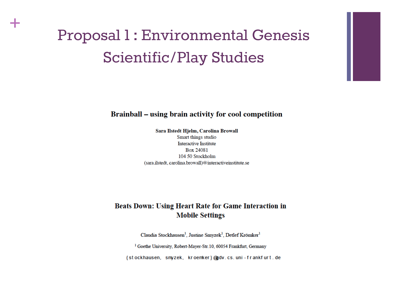## Proposal 1 : Environmental Genesis Scientific/Play Studies

**+**

Brainball – using brain activity for cool competition

Sara Ilstedt Hjelm, Carolina Browall Smart things studio **Interactive Institute** Box 24081 104 50 Stockholm (sara.ilstedt, carolina.browall)@interactiveinstitute.se

#### Beats Down: Using Heart Rate for Game Interaction in **Mobile Settings**

Claudia Stockhausen<sup>1</sup>, Justine Smyzek<sup>1</sup>, Detlef Krömker<sup>1</sup>

<sup>1</sup> Goethe University, Robert-Mayer-Str.10, 60054 Frankfurt, Germany

{stockhausen, smyzek, kroemker}@gdv.cs.uni-frankfurt.de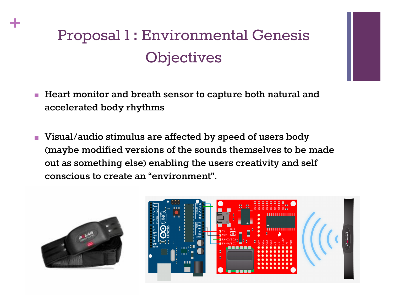## Proposal 1 : Environmental Genesis **Objectives**

- **Heart monitor and breath sensor to capture both natural and accelerated body rhythms**
- **Visual/audio stimulus are affected by speed of users body (maybe modified versions of the sounds themselves to be made out as something else) enabling the users creativity and self conscious to create an "environment".**



**+**

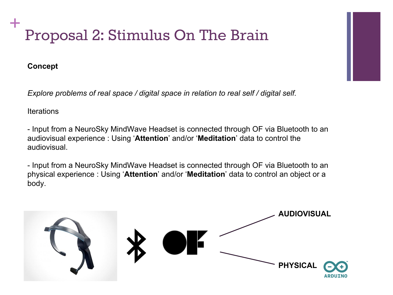### **+** Proposal 2: Stimulus On The Brain

#### **Concept**

*Explore problems of real space / digital space in relation to real self / digital self.*

**Iterations** 

- Input from a NeuroSky MindWave Headset is connected through OF via Bluetooth to an audiovisual experience : Using '**Attention**' and/or '**Meditation**' data to control the audiovisual.

- Input from a NeuroSky MindWave Headset is connected through OF via Bluetooth to an physical experience : Using '**Attention**' and/or '**Meditation**' data to control an object or a body.

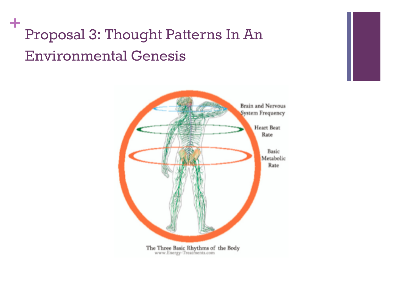### **+** Proposal 3: Thought Patterns In An Environmental Genesis

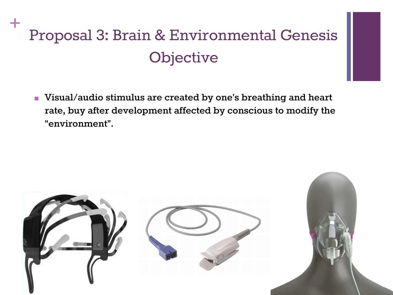# Proposal 3: Brain & Environmental Genesis **Objective**

**+**

■ **Visual/audio stimulus are created by one's breathing and heart rate, buy after development affected by conscious to modify the "environment".**

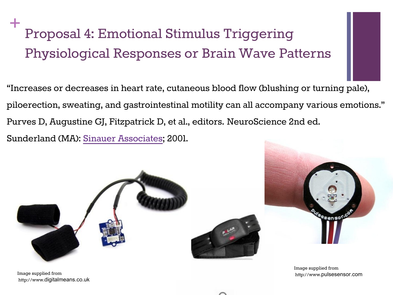### **+** Proposal 4: Emotional Stimulus Triggering Physiological Responses or Brain Wave Patterns

"Increases or decreases in heart rate, cutaneous blood flow (blushing or turning pale), piloerection, sweating, and gastrointestinal motility can all accompany various emotions." Purves D, Augustine GJ, Fitzpatrick D, et al., editors. NeuroScience 2nd ed. Sunderland (MA): [Sinauer Associates;](http://www.sinauer.com/) 2001.



Image supplied from http://www.digitalmeans.co.uk



Image supplied from http://www.pulsesensor.com